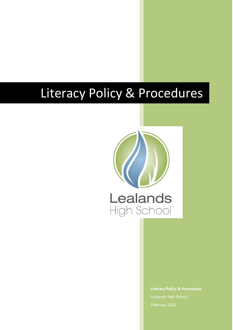# Literacy Policy & Procedures



**Literacy Policy & Procedures** Lealands High School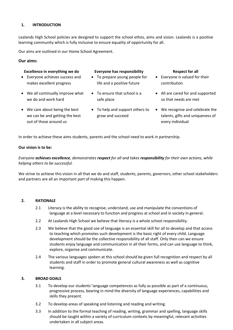#### **1. INTRODUCTION**

Lealands High School policies are designed to support the school ethos, aims and vision. Lealands is a positive learning community which is fully inclusive to ensure equality of opportunity for all.

Our aims are outlined in our Home School Agreement.

#### **Our aims:**

### **Excellence in everything we do everyone has responsibility and in the Respect for all**

- To prepare young people for life and a positive future
- To ensure that school is a safe place
- We care about being the best we can be and getting the best out of those around us

 Everyone achieves success and makes excellent progress

We all continually improve what

we do and work hard

• To help and support others to grow and succeed

- Everyone is valued for their contribution
- All are cared for and supported so that needs are met
- We recognise and celebrate the talents, gifts and uniqueness of every individual

In order to achieve these aims students, parents and the school need to work in partnership.

#### **Our vision is to be:**

*Everyone achieves excellence, demonstrates respect for all and takes responsibility for their own actions, while helping others to be successful.*

We strive to achieve this vision in all that we do and staff, students, parents, governors, other school stakeholders and partners are all an important part of making this happen.

#### **2. RATIONALE**

- 2.1 Literacy is the ability to recognise, understand, use and manipulate the conventions of language at a level necessary to function and progress at school and in society in general.
- 2.2 At Lealands High School we believe that literacy is a whole school responsibility.
- 2.3 We believe that the good use of language is an essential skill for all to develop and that access to teaching which promotes such development is the basic right of every child. Language development should be the collective responsibility of all staff. Only then can we ensure students enjoy language and communication in all their forms, and can use language to think, explore, organise and communicate.
- 2.4 The various languages spoken at this school should be given full recognition and respect by all students and staff in order to promote general cultural awareness as well as cognitive learning.

#### **3. BROAD GOALS**

- 3.1 To develop our students' language competences as fully as possible as part of a continuous, progressive process, bearing in mind the diversity of language experiences, capabilities and skills they present.
- 3.2 To develop areas of speaking and listening and reading and writing.
- 3.3 In addition to the formal teaching of reading, writing, grammar and spelling, language skills should be taught within a variety of curriculum contexts by meaningful, relevant activities undertaken in all subject areas.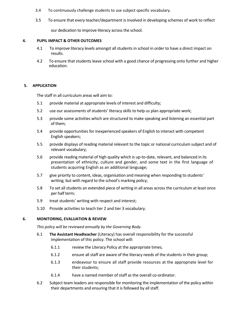- 3.4 To continuously challenge students to use subject specific vocabulary.
- 3.5 To ensure that every teacher/department is involved in developing schemes of work to reflect

our dedication to improve literacy across the school.

#### **4. PUPIL IMPACT & OTHER OUTCOMES**

- 4.1 To improve literacy levels amongst all students in school in order to have a direct impact on results.
- 4.2 To ensure that students leave school with a good chance of progressing onto further and higher education.

### **5. APPLICATION**

The staff in all curriculum areas will aim to:

- 5.1 provide material at appropriate levels of interest and difficulty;
- 5.2 use our assessments of students' literacy skills to help us plan appropriate work;
- 5.3 provide some activities which are structured to make speaking and listening an essential part of them;
- 5.4 provide opportunities for inexperienced speakers of English to interact with competent English speakers;
- 5.5 provide displays of reading material relevant to the topic or national curriculum subject and of relevant vocabulary;
- 5.6 provide reading material of high quality which is up-to-date, relevant, and balanced in its presentation of ethnicity, culture and gender, and some text in the first language of students acquiring English as an additional language;
- 5.7 give priority to content, ideas, organisation and meaning when responding to students' writing, but with regard to the school's marking policy;
- 5.8 To set all students an extended piece of writing in all areas across the curriculum at least once per half term;
- 5.9 treat students' writing with respect and interest;
- 5.10 Provide activities to teach tier 2 and tier 3 vocabulary.

### **6. MONITORING, EVALUATION & REVIEW**

*This policy will be reviewed annually by the Governing Body.*

- 6.1 **The Assistant Headteacher** (Literacy) has overall responsibility for the successful implementation of this policy. The school will:
	- 6.1.1 review the Literacy Policy at the appropriate times;
	- 6.1.2 ensure all staff are aware of the literacy needs of the students in their group;
	- 6.1.3 endeavour to ensure all staff provide resources at the appropriate level for their students;
	- 6.1.4 have a named member of staff as the overall co-ordinator.
- 6.2 Subject team leaders are responsible for monitoring the implementation of the policy within their departments and ensuring that it is followed by all staff.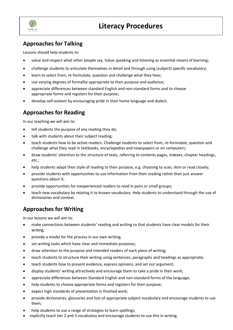

# **Approaches for Talking**

Lessons should help students to:

- value and respect what other people say. Value speaking and listening as essential means of learning;
- challenge students to articulate themselves in detail and through using (subject) specific vocabulary;
- learn to select from, re-formulate, question and challenge what they hear;
- use varying degrees of formality appropriate to their purpose and audience;
- appreciate differences between standard English and non-standard forms and to choose appropriate forms and registers for their purpose;
- develop self-esteem by encouraging pride in their home language and dialect.

# **Approaches for Reading**

In our teaching we will aim to:

- tell students the purpose of any reading they do;
- talk with students about their subject reading;
- teach students how to be active readers. Challenge students to select from, re-formulate, question and challenge what they read in textbooks, encyclopedias and newspapers or on computers;
- draw students' attention to the structure of texts, referring to contents pages, indexes, chapter headings, etc.;
- help students adapt their style of reading to their purpose, e.g. choosing to scan, skim or read closely;
- provide students with opportunities to use information from their reading rather than just answer questions about it;
- provide opportunities for inexperienced readers to read in pairs or small groups;
- teach new vocabulary by relating it to known vocabulary. Help students to understand through the use of dictionaries and context.

# **Approaches for Writing**

In our lessons we will aim to:

- make connections between students' reading and writing so that students have clear models for their writing;
- provide a model for the process in our own writing;
- set writing tasks which have clear and immediate purposes;
- draw attention to the purpose and intended readers of each piece of writing;
- teach students to structure their writing using sentences, paragraphs and headings as appropriate;
- teach students how to present evidence, express opinions, and set out argument;
- display students' writing attractively and encourage them to take a pride in their work;
- appreciate differences between Standard English and non-standard forms of the language;
- help students to choose appropriate forms and registers for their purpose;
- expect high standards of presentation in finished work;
- provide dictionaries, glossaries and lists of appropriate subject vocabulary and encourage students to use them;
- help students to use a range of strategies to learn spellings;
- explicitly teach tier 2 and 3 vocabulary and encourage students to use this in writing.